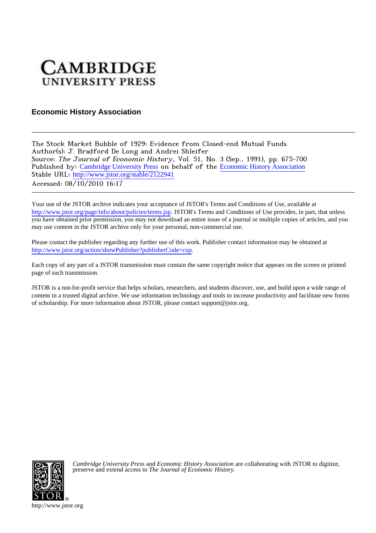# **CAMBRIDGE UNIVERSITY PRESS**

# **Economic History Association**

The Stock Market Bubble of 1929: Evidence from Closed-end Mutual Funds Author(s): J. Bradford De Long and Andrei Shleifer Source: The Journal of Economic History, Vol. 51, No. 3 (Sep., 1991), pp. 675-700 Published by: [Cambridge University Press](http://www.jstor.org/action/showPublisher?publisherCode=cup) on behalf of the [Economic History Association](http://www.jstor.org/action/showPublisher?publisherCode=eha) Stable URL: [http://www.jstor.org/stable/2122941](http://www.jstor.org/stable/2122941?origin=JSTOR-pdf) Accessed: 08/10/2010 16:17

Your use of the JSTOR archive indicates your acceptance of JSTOR's Terms and Conditions of Use, available at <http://www.jstor.org/page/info/about/policies/terms.jsp>. JSTOR's Terms and Conditions of Use provides, in part, that unless you have obtained prior permission, you may not download an entire issue of a journal or multiple copies of articles, and you may use content in the JSTOR archive only for your personal, non-commercial use.

Please contact the publisher regarding any further use of this work. Publisher contact information may be obtained at <http://www.jstor.org/action/showPublisher?publisherCode=cup>.

Each copy of any part of a JSTOR transmission must contain the same copyright notice that appears on the screen or printed page of such transmission.

JSTOR is a not-for-profit service that helps scholars, researchers, and students discover, use, and build upon a wide range of content in a trusted digital archive. We use information technology and tools to increase productivity and facilitate new forms of scholarship. For more information about JSTOR, please contact support@jstor.org.



*Cambridge University Press* and *Economic History Association* are collaborating with JSTOR to digitize, preserve and extend access to *The Journal of Economic History.*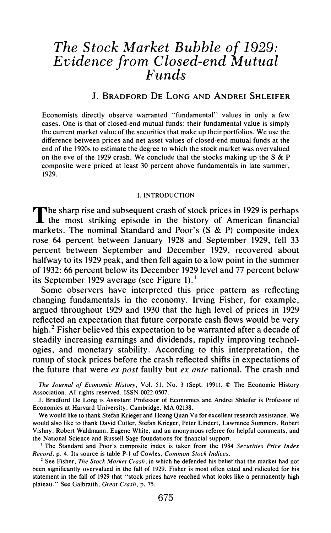# **The Stock Market Bubble of 1929: Evidence from Closed-end Mutual Funds**

# **J. BRADFORD DE LONG AND ANDREI SHLEIFER**

**Economists directly observe warranted "fundamental" values in only a few cases. One is that of closed-end mutual funds: their fundamental value is simply the current market value of the securities that make up their portfolios. We use the difference between prices and net asset values of closed-end mutual funds at the end of the 1920s to estimate the degree to which the stock market was overvalued on the eve of the 1929 crash. We conclude that the stocks making up the S & P composite were priced at least 30 percent above fundamentals in late summer, 1929.** 

#### **1. INTRODUCTION**

The sharp rise and subsequent crash of stock prices in 1929 is perhaps **the most striking episode in the history of American financial markets. The nominal Standard and Poor's (S & P) composite index rose 64 percent between January 1928 and September 1929, fell 33 percent between September and December 1929, recovered about halfway to its 1929 peak, and then fell again to a low point in the summer of 1932: 66 percent below its December 1929 level and 77 percent below its September 1929 average (see Figure 1).1** 

**Some observers have interpreted this price pattern as reflecting changing fundamentals in the economy. Irving Fisher, for example, argued throughout 1929 and 1930 that the high level of prices in 1929 reflected an expectation that future corporate cash flows would be very high.2 Fisher believed this expectation to be warranted after a decade of steadily increasing earnings and dividends, rapidly improving technologies, and monetary stability. According to this interpretation, the runup of stock prices before the crash reflected shifts in expectations of the future that were ex post faulty but ex ante rational. The crash and** 

The Journal of Economic History, Vol. 51, No. 3 (Sept. 1991). © The Economic History **Association. All rights reserved. ISSN 0022-0507.** 

**J. Bradford De Long is Assistant Professor of Economics and Andrei Shleifer is Professor of Economics at Harvard University, Cambridge, MA 02138.** 

**We would like to thank Stefan Krieger and Hoang Quan Vu for excellent research assistance. We would also like to thank David Cutler, Stefan Krieger, Peter Lindert, Lawrence Summers, Robert Vishny, Robert Waldmann, Eugene White, and an anonymous referee for helpful comments, and the National Science and Russell Sage foundations for financial support.** 

**' The Standard and Poor's composite index is taken from the 1984 Securities Price Index Record, p. 4. Its source is table P-l of Cowles, Common Stock Indices.** 

**<sup>2</sup>See Fisher, The Stock Market Crash, in which he defended his belief that the market had not been significantly overvalued in the fall of 1929. Fisher is most often cited and ridiculed for his statement in the fall of 1929 that "stock prices have reached what looks like a permanently high plateau." See Galbraith, Great Crash, p. 75.**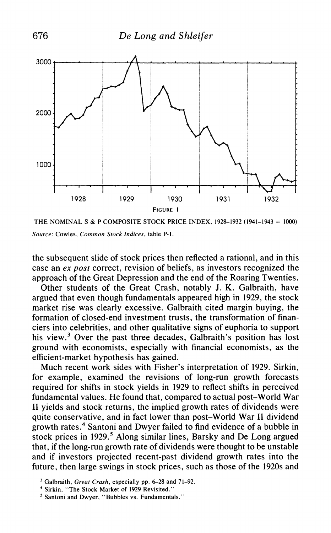

**THE NOMINAL S & P COMPOSITE STOCK PRICE INDEX, 1928-1932 (1941-1943 = 1000) Source: Cowles, Common Stock Indices, table P-1.** 

**the subsequent slide of stock prices then reflected a rational, and in this case an ex post correct, revision of beliefs, as investors recognized the approach of the Great Depression and the end of the Roaring Twenties.** 

**Other students of the Great Crash, notably J. K. Galbraith, have argued that even though fundamentals appeared high in 1929, the stock market rise was clearly excessive. Galbraith cited margin buying, the formation of closed-end investment trusts, the transformation of financiers into celebrities, and other qualitative signs of euphoria to support his view.3 Over the past three decades, Galbraith's position has lost ground with economists, especially with financial economists, as the efficient-market hypothesis has gained.** 

**Much recent work sides with Fisher's interpretation of 1929. Sirkin, for example, examined the revisions of long-run growth forecasts required for shifts in stock yields in 1929 to reflect shifts in perceived fundamental values. He found that, compared to actual post-World War 11 yields and stock returns, the implied growth rates of dividends were quite conservative, and in fact lower than post-World War 11 dividend growth rates.4 Santoni and Dwyer failed to find evidence of a bubble in stock prices in 1929.5 Along similar lines, Barsky and De Long argued that, if the long-run growth rate of dividends were thought to be unstable and if investors projected recent-past dividend growth rates into the future, then large swings in stock prices, such as those of the 1920s and** 

**<sup>4</sup>Sirkin, "The Stock Market of 1929 Revisited."** 

**<sup>3</sup> Galbraith, Great Crash, especially pp. 6-28 and 71-92.** 

**s Santoni and Dwyer, "Bubbles vs. Fundamentals."**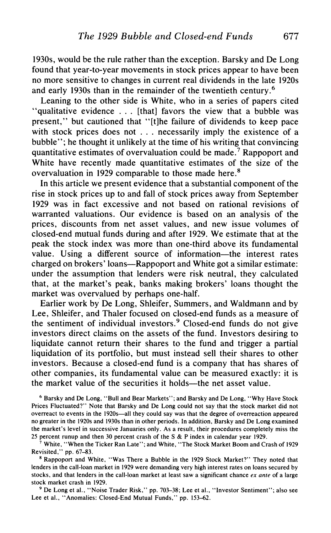**1930s, would be the rule rather than the exception. Barsky and De Long found that year-to-year movements in stock prices appear to have been no more sensitive to changes in current real dividends in the late 1920s and early 1930s than in the remainder of the twentieth century.6** 

**Leaning to the other side is White, who in a series of papers cited "qualitative evidence . . . [that] favors the view that a bubble was present," but cautioned that "[t]he failure of dividends to keep pace with stock prices does not . . . necessarily imply the existence of a bubble"; he thought it unlikely at the time of his writing that convincing quantitative estimates of overvaluation could be made.7 Rappoport and White have recently made quantitative estimates of the size of the overvaluation in 1929 comparable to those made here.8** 

**In this article we present evidence that a substantial component of the rise in stock prices up to and fall of stock prices away from September 1929 was in fact excessive and not based on rational revisions of warranted valuations. Our evidence is based on an analysis of the prices, discounts from net asset values, and new issue volumes of closed-end mutual funds during and after 1929. We estimate that at the peak the stock index was more than one-third above its fundamental value. Using a different source of information-the interest rates charged on brokers' loans-Rappoport and White got a similar estimate: under the assumption that lenders were risk neutral, they calculated that, at the market's peak, banks making brokers' loans thought the market was overvalued by perhaps one-half.** 

**Earlier work by De Long, Shleifer, Summers, and Waldmann and by Lee, Shleifer, and Thaler focused on closed-end funds as a measure of the sentiment of individual investors.9 Closed-end funds do not give investors direct claims on the assets of the fund. Investors desiring to liquidate cannot return their shares to the fund and trigger a partial liquidation of its portfolio, but must instead sell their shares to other investors. Because a closed-end fund is a company that has shares of other companies, its fundamental value can be measured exactly: it is the market value of the securities it holds-the net asset value.** 

**6 Barsky and De Long, "Bull and Bear Markets"; and Barsky and De Long, "Why Have Stock Prices Fluctuated?" Note that Barsky and De Long could not say that the stock market did not overreact to events in the 1920s-all they could say was that the degree of overreaction appeared no greater in the 1920s and 1930s than in other periods. In addition, Barsky and De Long examined the market's level in successive Januaries only. As a result, their procedures completely miss the 25 percent runup and then 30 percent crash of the S & P index in calendar year 1929.** 

**' White, "When the Ticker Ran Late"; and White, "The Stock Market Boom and Crash of 1929 Revisited," pp. 67-83.** 

**<sup>8</sup>Rappoport and White, "Was There a Bubble in the 1929 Stock Market?" They noted that lenders in the call-loan market in 1929 were demanding very high interest rates on loans secured by stocks, and that lenders in the call-loan market at least saw a significant chance ex ante of a large stock market crash in 1929.** 

**9 De Long et al., "Noise Trader Risk," pp. 703-38; Lee et al., "Investor Sentiment"; also see Lee et al., "Anomalies: Closed-End Mutual Funds," pp. 153-62.**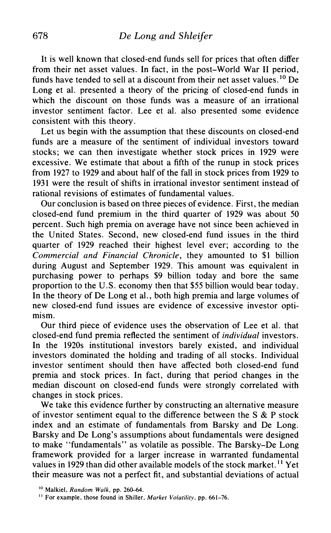**It is well known that closed-end funds sell for prices that often differ from their net asset values. In fact, in the post-World War 11 period, funds have tended to sell at a discount from their net asset values.'0 De Long et al. presented a theory of the pricing of closed-end funds in which the discount on those funds was a measure of an irrational investor sentiment factor. Lee et al. also presented some evidence consistent with this theory.** 

**Let us begin with the assumption that these discounts on closed-end funds are a measure of the sentiment of individual investors toward stocks; we can then investigate whether stock prices in 1929 were excessive. We estimate that about a fifth of the runup in stock prices from 1927 to 1929 and about half of the fall in stock prices from 1929 to 1931 were the result of shifts in irrational investor sentiment instead of rational revisions of estimates of fundamental values.** 

**Our conclusion is based on three pieces of evidence. First, the median closed-end fund premium in the third quarter of 1929 was about 50 percent. Such high premia on average have not since been achieved in the United States. Second, new closed-end fund issues in the third quarter of 1929 reached their highest level ever; according to the Commercial and Financial Chronicle, they amounted to \$1 billion during August and September 1929. This amount was equivalent in purchasing power to perhaps \$9 billion today and bore the same proportion to the U.S. economy then that \$55 billion would bear today. In the theory of De Long et al., both high premia and large volumes of new closed-end fund issues are evidence of excessive investor optimism.** 

**Our third piece of evidence uses the observation of Lee et al. that closed-end fund premia reflected the sentiment of individual investors. In the 1920s institutional investors barely existed, and individual investors dominated the holding and trading of all stocks. Individual investor sentiment should then have affected both closed-end fund premia and stock prices. In fact, during that period changes in the median discount on closed-end funds were strongly correlated with changes in stock prices.** 

**We take this evidence further by constructing an alternative measure of investor sentiment equal to the difference between the S & P stock index and an estimate of fundamentals from Barsky and De Long. Barsky and De Long's assumptions about fundamentals were designed to make "fundamentals" as volatile as possible. The Barsky-De Long framework provided for a larger increase in warranted fundamental values in 1929 than did other available models of the stock market. " Yet their measure was not a perfect fit, and substantial deviations of actual** 

**<sup>0</sup>Malkiel, Random Walk, pp. 260-64.** 

<sup>&</sup>lt;sup>11</sup> For example, those found in Shiller, *Market Volatility*, pp. 661-76.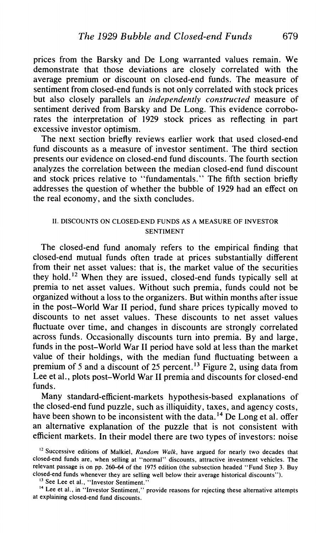**prices from the Barsky and De Long warranted values remain. We demonstrate that those deviations are closely correlated with the average premium or discount on closed-end funds. The measure of sentiment from closed-end funds is not only correlated with stock prices but also closely parallels an independently constructed measure of sentiment derived from Barsky and De Long. This evidence corroborates the interpretation of 1929 stock prices as reflecting in part excessive investor optimism.** 

**The next section briefly reviews earlier work that used closed-end fund discounts as a measure of investor sentiment. The third section presents our evidence on closed-end fund discounts. The fourth section analyzes the correlation between the median closed-end fund discount and stock prices relative to "fundamentals." The fifth section briefly addresses the question of whether the bubble of 1929 had an effect on the real economy, and the sixth concludes.** 

#### **II. DISCOUNTS ON CLOSED-END FUNDS AS A MEASURE OF INVESTOR SENTIMENT**

**The closed-end fund anomaly refers to the empirical finding that closed-end mutual funds often trade at prices substantially different from their net asset values: that is, the market value of the securities they hold.'2 When they are issued, closed-end funds typically sell at premia to net asset values. Without such premia, funds could not be organized without a loss to the organizers. But within months after issue in the post-World War II period, fund share prices typically moved to discounts to net asset values. These discounts to net asset values fluctuate over time, and changes in discounts are strongly correlated across funds. Occasionally discounts turn into premia. By and large, funds in the post-World War II period have sold at less than the market value of their holdings, with the median fund fluctuating between a premium of 5 and a discount of 25 percent.'3 Figure 2, using data from Lee et al., plots post-World War II premia and discounts for closed-end funds.** 

**Many standard-efficient-markets hypothesis-based explanations of the closed-end fund puzzle, such as illiquidity, taxes, and agency costs, have been shown to be inconsistent with the data. 14 De Long et al. offer an alternative explanation of the puzzle that is not consistent with efficient markets. In their model there are two types of investors: noise** 

**<sup>3</sup>See Lee et al., "Investor Sentiment."** 

<sup>&</sup>lt;sup>12</sup> Successive editions of Malkiel, Random Walk, have argued for nearly two decades that **closed-end funds are, when selling at "normal" discounts, attractive investment vehicles. The relevant passage is on pp. 260-64 of the 1975 edition (the subsection headed "Fund Step 3. Buy closed-end funds whenever they are selling well below their average historical discounts").** 

**<sup>14</sup>Lee et al., in "Investor Sentiment," provide reasons for rejecting these alternative attempts at explaining closed-end fund discounts.**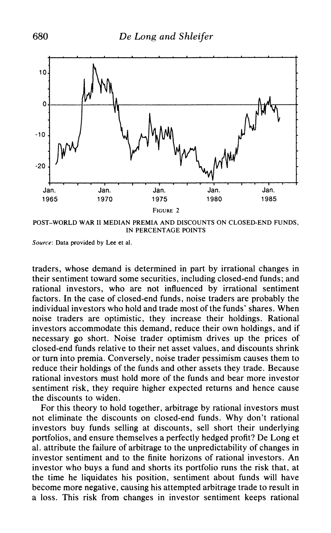

**POST-WORLD WAR II MEDIAN PREMIA AND DISCOUNTS ON CLOSED-END FUNDS, IN PERCENTAGE POINTS** 

**Source: Data provided by Lee et al.** 

**traders, whose demand is determined in part by irrational changes in their sentiment toward some securities, including closed-end funds; and rational investors, who are not influenced by irrational sentiment factors. In the case of closed-end funds, noise traders are probably the individual investors who hold and trade most of the funds' shares. When noise traders are optimistic, they increase their holdings. Rational investors accommodate this demand, reduce their own holdings, and if necessary go short. Noise trader optimism drives up the prices of closed-end funds relative to their net asset values, and discounts shrink or turn into premia. Conversely, noise trader pessimism causes them to reduce their holdings of the funds and other assets they trade. Because rational investors must hold more of the funds and bear more investor sentiment risk, they require higher expected returns and hence cause the discounts to widen.** 

**For this theory to hold together, arbitrage by rational investors must not eliminate the discounts on closed-end funds. Why don't rational investors buy funds selling at discounts, sell short their underlying portfolios, and ensure themselves a perfectly hedged profit? De Long et al. attribute the failure of arbitrage to the unpredictability of changes in investor sentiment and to the finite horizons of rational investors. An investor who buys a fund and shorts its portfolio runs the risk that, at the time he liquidates his position, sentiment about funds will have become more negative, causing his attempted arbitrage trade to result in a loss. This risk from changes in investor sentiment keeps rational**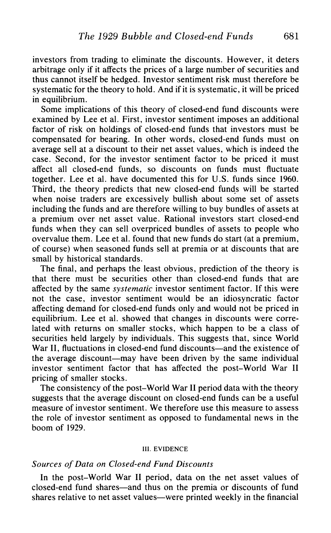**investors from trading to eliminate the discounts. However, it deters arbitrage only if it affects the prices of a large number of securities and thus cannot itself be hedged. Investor sentiment risk must therefore be systematic for the theory to hold. And if it is systematic, it will be priced in equilibrium.** 

**Some implications of this theory of closed-end fund discounts were examined by Lee et al. First, investor sentiment imposes an additional factor of risk on holdings of closed-end funds that investors must be compensated for bearing. In other words, closed-end funds must on average sell at a discount to their net asset values, which is indeed the case. Second, for the investor sentiment factor to be priced it must affect all closed-end funds, so discounts on funds must fluctuate together. Lee et al. have documented this for U.S. funds since 1960. Third, the theory predicts that new closed-end funds will be started when noise traders are excessively bullish about some set of assets including the funds and are therefore willing to buy bundles of assets at a premium over net asset value. Rational investors start closed-end funds when they can sell overpriced bundles of assets to people who overvalue them. Lee et al. found that new funds do start (at a premium, of course) when seasoned funds sell at premia or at discounts that are small by historical standards.** 

**The final, and perhaps the least obvious, prediction of the theory is that there must be securities other than closed-end funds that are affected by the same systematic investor sentiment factor. If this were not the case, investor sentiment would be an idiosyncratic factor affecting demand for closed-end funds only and would not be priced in equilibrium. Lee et al. showed that changes in discounts were correlated with returns on smaller stocks, which happen to be a class of securities held largely by individuals. This suggests that, since World**  War II, fluctuations in closed-end fund discounts—and the existence of **the average discount-may have been driven by the same individual investor sentiment factor that has affected the post-World War 11 pricing of smaller stocks.** 

**The consistency of the post-World War 11 period data with the theory suggests that the average discount on closed-end funds can be a useful measure of investor sentiment. We therefore use this measure to assess the role of investor sentiment as opposed to fundamental news in the boom of 1929.** 

#### **111. EVIDENCE**

#### **Sources of Data on Closed-end Fund Discounts**

**In the post-World War 11 period, data on the net asset values of closed-end fund shares-and thus on the premia or discounts of fund**  shares relative to net asset values—were printed weekly in the financial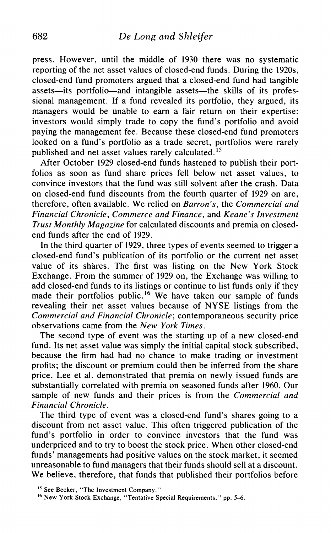**press. However, until the middle of 1930 there was no systematic reporting of the net asset values of closed-end funds. During the 1920s, closed-end fund promoters argued that a closed-end fund had tangible**  assets—its portfolio—and intangible assets—the skills of its profes**sional management. If a fund revealed its portfolio, they argued, its managers would be unable to earn a fair return on their expertise: investors would simply trade to copy the fund's portfolio and avoid paying the management fee. Because these closed-end fund promoters looked on a fund's portfolio as a trade secret, portfolios were rarely published and net asset values rarely calculated.'5** 

**After October 1929 closed-end funds hastened to publish their portfolios as soon as fund share prices fell below net asset values, to convince investors that the fund was still solvent after the crash. Data on closed-end fund discounts from the fourth quarter of 1929 on are, therefore, often available. We relied on Barron's, the Commercial and Financial Chronicle, Commerce and Finance, and Keane's Investment Trust Monthly Magazine for calculated discounts and premia on closedend funds after the end of 1929.** 

**In the third quarter of 1929, three types of events seemed to trigger a closed-end fund's publication of its portfolio or the current net asset value of its shares. The first was listing on the New York Stock Exchange. From the summer of 1929 on, the Exchange was willing to add closed-end funds to its listings or continue to list funds only if they made their portfolios public.'6 We have taken our sample of funds revealing their net asset values because of NYSE listings from the Commercial and Financial Chronicle; contemporaneous security price observations came from the New York Times.** 

**The second type of event was the starting up of a new closed-end fund. Its net asset value was simply the initial capital stock subscribed, because the firm had had no chance to make trading or investment profits; the discount or premium could then be inferred from the share price. Lee et al. demonstrated that premia on newly issued funds are substantially correlated with premia on seasoned funds after 1960. Our sample of new funds and their prices is from the Commercial and Financial Chronicle.** 

**The third type of event was a closed-end fund's shares going to a discount from net asset value. This often triggered publication of the fund's portfolio in order to convince investors that the fund was underpriced and to try to boost the stock price. When other closed-end funds' managements had positive values on the stock market, it seemed unreasonable to fund managers that their funds should sell at a discount. We believe, therefore, that funds that published their portfolios before** 

**Is See Becker, "The Investment Company."** 

**<sup>6</sup> New York Stock Exchange, "Tentative Special Requirements," pp. 5-6.**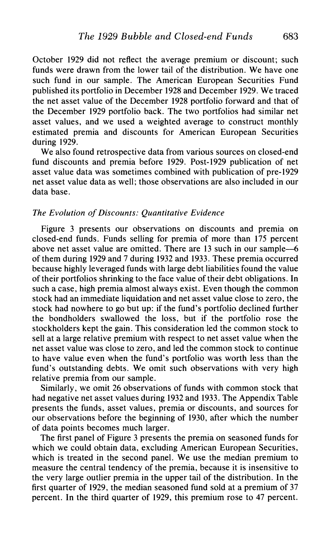**October 1929 did not reflect the average premium or discount; such funds were drawn from the lower tail of the distribution. We have one such fund in our sample. The American European Securities Fund published its portfolio in December 1928 and December 1929. We traced the net asset value of the December 1928 portfolio forward and that of the December 1929 portfolio back. The two portfolios had similar net asset values, and we used a weighted average to construct monthly estimated premia and discounts for American European Securities during 1929.** 

**We also found retrospective data from various sources on closed-end fund discounts and premia before 1929. Post-1929 publication of net asset value data was sometimes combined with publication of pre-1929 net asset value data as well; those observations are also included in our data base.** 

## **The Evolution of Discounts: Quantitative Evidence**

**Figure 3 presents our observations on discounts and premia on closed-end funds. Funds selling for premia of more than 175 percent above net asset value are omitted. There are 13 such in our sample-6 of them during 1929 and 7 during 1932 and 1933. These premia occurred because highly leveraged funds with large debt liabilities found the value of their portfolios shrinking to the face value of their debt obligations. In such a case, high premia almost always exist. Even though the common stock had an immediate liquidation and net asset value close to zero, the stock had nowhere to go but up: if the fund's portfolio declined further the bondholders swallowed the loss, but if the portfolio rose the stockholders kept the gain. This consideration led the common stock to sell at a large relative premium with respect to net asset value when the net asset value was close to zero, and led the common stock to continue to have value even when the fund's portfolio was worth less than the fund's outstanding debts. We omit such observations with very high relative premia from our sample.** 

**Similarly, we omit 26 observations of funds with common stock that had negative net asset values during 1932 and 1933. The Appendix Table presents the funds, asset values, premia or discounts, and sources for our observations before the beginning of 1930, after which the number of data points becomes much larger.** 

**The first panel of Figure 3 presents the premia on seasoned funds for which we could obtain data, excluding American European Securities, which is treated in the second panel. We use the median premium to measure the central tendency of the premia, because it is insensitive to the very large outlier premia in the upper tail of the distribution. In the first quarter of 1929, the median seasoned fund sold at a premium of 37 percent. In the third quarter of 1929, this premium rose to 47 percent.**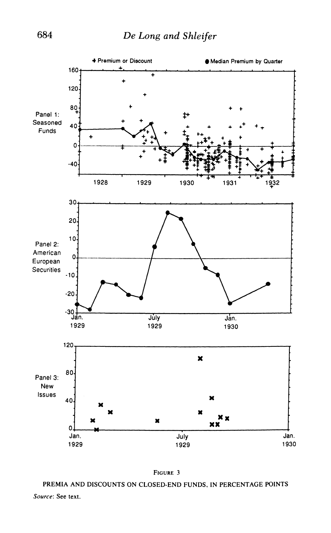



**PREMIA AND DISCOUNTS ON CLOSED-END FUNDS, IN PERCENTAGE POINTS Source: See text.**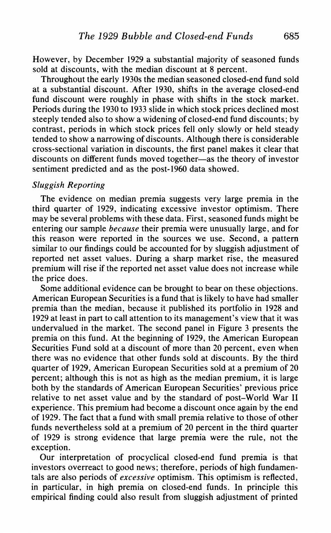**However, by December 1929 a substantial majority of seasoned funds sold at discounts, with the median discount at 8 percent.** 

**Throughout the early 1930s the median seasoned closed-end fund sold at a substantial discount. After 1930, shifts in the average closed-end fund discount were roughly in phase with shifts in the stock market. Periods during the 1930 to 1933 slide in which stock prices declined most steeply tended also to show a widening of closed-end fund discounts; by contrast, periods in which stock prices fell only slowly or held steady tended to show a narrowing of discounts. Although there is considerable cross-sectional variation in discounts, the first panel makes it clear that discounts on different funds moved together-as the theory of investor sentiment predicted and as the post-1960 data showed.** 

#### **Sluggish Reporting**

**The evidence on median premia suggests very large premia in the third quarter of 1929, indicating excessive investor optimism. There may be several problems with these data. First, seasoned funds might be entering our sample because their premia were unusually large, and for this reason were reported in the sources we use. Second, a pattern similar to our findings could be accounted for by sluggish adjustment of reported net asset values. During a sharp market rise, the measured premium will rise if the reported net asset value does not increase while the price does.** 

**Some additional evidence can be brought to bear on these objections. American European Securities is a fund that is likely to have had smaller premia than the median, because it published its portfolio in 1928 and 1929 at least in part to call attention to its management's view that it was undervalued in the market. The second panel in Figure 3 presents the premia on this fund. At the beginning of 1929, the American European Securities Fund sold at a discount of more than 20 percent, even when there was no evidence that other funds sold at discounts. By the third quarter of 1929, American European Securities sold at a premium of 20 percent; although this is not as high as the median premium, it is large both by the standards of American European Securities' previous price relative to net asset value and by the standard of post-World War 11 experience. This premium had become a discount once again by the end of 1929. The fact that a fund with small premia relative to those of other funds nevertheless sold at a premium of 20 percent in the third quarter of 1929 is strong evidence that large premia were the rule, not the exception.** 

**Our interpretation of procyclical closed-end fund premia is that investors overreact to good news; therefore, periods of high fundamentals are also periods of excessive optimism. This optimism is reflected, in particular, in high premia on closed-end funds. In principle this empirical finding could also result from sluggish adjustment of printed**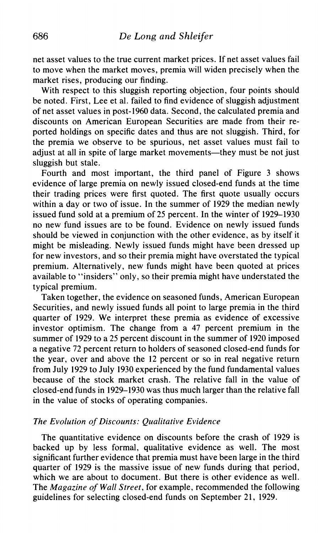**net asset values to the true current market prices. If net asset values fail to move when the market moves, premia will widen precisely when the market rises, producing our finding.** 

**With respect to this sluggish reporting objection, four points should be noted. First, Lee et al. failed to find evidence of sluggish adjustment of net asset values in post-1960 data. Second, the calculated premia and discounts on American European Securities are made from their reported holdings on specific dates and thus are not sluggish. Third, for the premia we observe to be spurious, net asset values must fail to**  adjust at all in spite of large market movements—they must be not just **sluggish but stale.** 

**Fourth and most important, the third panel of Figure 3 shows evidence of large premia on newly issued closed-end funds at the time their trading prices were first quoted. The first quote usually occurs within a day or two of issue. In the summer of 1929 the median newly issued fund sold at a premium of 25 percent. In the winter of 1929-1930 no new fund issues are to be found. Evidence on newly issued funds should be viewed in conjunction with the other evidence, as by itself it might be misleading. Newly issued funds might have been dressed up for new investors, and so their premia might have overstated the typical premium. Alternatively, new funds might have been quoted at prices available to "insiders" only, so their premia might have understated the typical premium.** 

**Taken together, the evidence on seasoned funds, American European Securities, and newly issued funds all point to large premia in the third quarter of 1929. We interpret these premia as evidence of excessive investor optimism. The change from a 47 percent premium in the summer of 1929 to a 25 percent discount in the summer of 1920 imposed a negative 72 percent return to holders of seasoned closed-end funds for the year, over and above the 12 percent or so in real negative return from July 1929 to July 1930 experienced by the fund fundamental values because of the stock market crash. The relative fall in the value of closed-end funds in 1929-1930 was thus much larger than the relative fall in the value of stocks of operating companies.** 

# **The Evolution of Discounts: Qualitative Evidence**

**The quantitative evidence on discounts before the crash of 1929 is backed up by less formal, qualitative evidence as well. The most significant further evidence that premia must have been large in the third quarter of 1929 is the massive issue of new funds during that period, which we are about to document. But there is other evidence as well. The Magazine of Wall Street, for example, recommended the following guidelines for selecting closed-end funds on September 21, 1929.**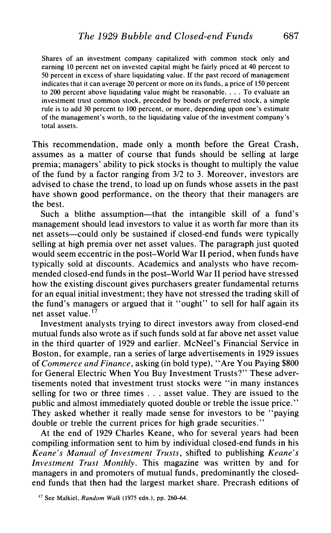**Shares of an investment company capitalized with common stock only and earning 10 percent net on invested capital might be fairly priced at 40 percent to 50 percent in excess of share liquidating value. If the past record of management indicates that it can average 20 percent or more on its funds, a price of 150 percent to 200 percent above liquidating value might be reasonable.... To evaluate an investment trust common stock, preceded by bonds or preferred stock, a simple rule is to add 30 percent to 100 percent, or more, depending upon one's estimate of the management's worth, to the liquidating value of the investment company's total assets.** 

**This recommendation, made only a month before the Great Crash, assumes as a matter of course that funds should be selling at large premia; managers' ability to pick stocks is thought to multiply the value of the fund by a factor ranging from 3/2 to 3. Moreover, investors are advised to chase the trend, to load up on funds whose assets in the past have shown good performance, on the theory that their managers are the best.** 

Such a blithe assumption—that the intangible skill of a fund's **management should lead investors to value it as worth far more than its net assets-could only be sustained if closed-end funds were typically selling at high premia over net asset values. The paragraph just quoted would seem eccentric in the post-World War II period, when funds have typically sold at discounts. Academics and analysts who have recommended closed-end funds in the post-World War II period have stressed how the existing discount gives purchasers greater fundamental returns for an equal initial investment; they have not stressed the trading skill of the fund's managers or argued that it "ought" to sell for half again its net asset value.'7** 

**Investment analysts trying to direct investors away from closed-end mutual funds also wrote as if such funds sold at far above net asset value in the third quarter of 1929 and earlier. McNeel's Financial Service in Boston, for example, ran a series of large advertisements in 1929 issues of Commerce and Finance, asking (in bold type), "Are You Paying \$800 for General Electric When You Buy Investment Trusts?" These advertisements noted that investment trust stocks were "in many instances selling for two or three times . . . asset value. They are issued to the public and almost immediately quoted double or treble the issue price." They asked whether it really made sense for investors to be "paying double or treble the current prices for high grade securities."** 

**At the end of 1929 Charles Keane, who for several years had been compiling information sent to him by individual closed-end funds in his Keane's Manual of Investment Trusts, shifted to publishing Keane's Investment Trust Monthly. This magazine was written by and for managers in and promoters of mutual funds, predominantly the closedend funds that then had the largest market share. Precrash editions of** 

**<sup>&#</sup>x27;7 See Malkiel, Random Walk (1975 edn.), pp. 260-64.**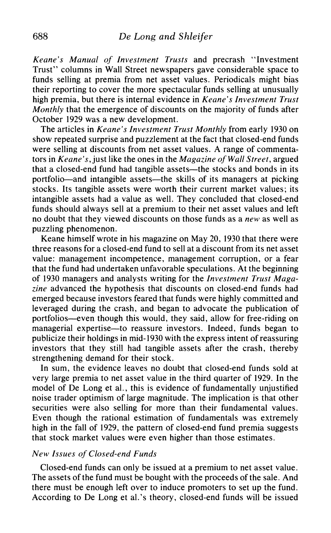**Keane's Manual of Investment Trusts and precrash "Investment Trust" columns in Wall Street newspapers gave considerable space to funds selling at premia from net asset values. Periodicals might bias their reporting to cover the more spectacular funds selling at unusually high premia, but there is internal evidence in Keane's Investment Trust Monthly that the emergence of discounts on the majority of funds after October 1929 was a new development.** 

**The articles in Keane's Investment Trust Monthly from early 1930 on show repeated surprise and puzzlement at the fact that closed-end funds were selling at discounts from net asset values. A range of commentators in Keane's, just like the ones in the Magazine of Wall Street, argued that a closed-end fund had tangible assets-the stocks and bonds in its portfolio-and intangible assets-the skills of its managers at picking stocks. Its tangible assets were worth their current market values; its intangible assets had a value as well. They concluded that closed-end funds should always sell at a premium to their net asset values and left no doubt that they viewed discounts on those funds as a new as well as puzzling phenomenon.** 

**Keane himself wrote in his magazine on May 20, 1930 that there were three reasons for a closed-end fund to sell at a discount from its net asset value: management incompetence, management corruption, or a fear that the fund had undertaken unfavorable speculations. At the beginning of 1930 managers and analysts writing for the Investment Trust Magazine advanced the hypothesis that discounts on closed-end funds had emerged because investors feared that funds were highly committed and leveraged during the crash, and began to advocate the publication of portfolios-even though this would, they said, allow for free-riding on managerial expertise-to reassure investors. Indeed, funds began to publicize their holdings in mid-1930 with the express intent of reassuring investors that they still had tangible assets after the crash, thereby strengthening demand for their stock.** 

**In sum, the evidence leaves no doubt that closed-end funds sold at very large premia to net asset value in the third quarter of 1929. In the model of De Long et al., this is evidence of fundamentally unjustified noise trader optimism of large magnitude. The implication is that other securities were also selling for more than their fundamental values. Even though the rational estimation of fundamentals was extremely high in the fall of 1929, the pattern of closed-end fund premia suggests that stock market values were even higher than those estimates.** 

# **New Issues of Closed-end Funds**

**Closed-end funds can only be issued at a premium to net asset value. The assets of the fund must be bought with the proceeds of the sale. And there must be enough left over to induce promoters to set up the fund. According to De Long et al.'s theory, closed-end funds will be issued**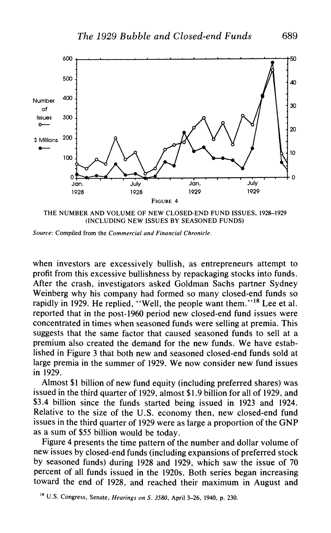

**THE NUMBER AND VOLUME OF NEW CLOSED-END FUND ISSUES, 1928-1929 (INCLUDING NEW ISSUES BY SEASONED FUNDS)** 

**Source: Compiled from the Commercial and Financial Chronicle.** 

**when investors are excessively bullish, as entrepreneurs attempt to profit from this excessive bullishness by repackaging stocks into funds. After the crash, investigators asked Goldman Sachs partner Sydney Weinberg why his company had formed so many closed-end funds so**  rapidly in 1929. He replied, "Well, the people want them."<sup>18</sup> Lee et al. **reported that in the post-1960 period new closed-end fund issues were concentrated in times when seasoned funds were selling at premia. This suggests that the same factor that caused seasoned funds to sell at a premium also created the demand for the new funds. We have established in Figure 3 that both new and seasoned closed-end funds sold at large premia in the summer of 1929. We now consider new fund issues in 1929.** 

**Almost \$1 billion of new fund equity (including preferred shares) was issued in the third quarter of 1929, almost \$1.9 billion for all of 1929, and \$3.4 billion since the funds started being issued in 1923 and 1924. Relative to the size of the U.S. economy then, new closed-end fund issues in the third quarter of 1929 were as large a proportion of the GNP as a sum of \$55 billion would be today.** 

**Figure 4 presents the time pattern of the number and dollar volume of new issues by closed-end funds (including expansions of preferred stock by seasoned funds) during 1928 and 1929, which saw the issue of 70 percent of all funds issued in the 1920s. Both series began increasing toward the end of 1928, and reached their maximum in August and** 

**<sup>18</sup> U.S. Congress, Senate, Hearings on S. 3580, April 3-26, 1940, p. 230.**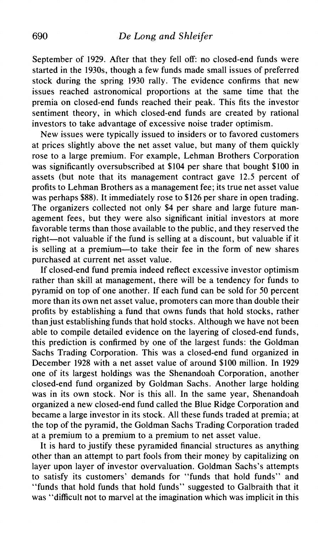**September of 1929. After that they fell off: no closed-end funds were started in the 1930s, though a few funds made small issues of preferred stock during the spring 1930 rally. The evidence confirms that new issues reached astronomical proportions at the same time that the premia on closed-end funds reached their peak. This fits the investor sentiment theory, in which closed-end funds are created by rational investors to take advantage of excessive noise trader optimism.** 

**New issues were typically issued to insiders or to favored customers at prices slightly above the net asset value, but many of them quickly rose to a large premium. For example, Lehman Brothers Corporation was significantly oversubscribed at \$104 per share that bought \$100 in assets (but note that its management contract gave 12.5 percent of profits to Lehman Brothers as a management fee; its true net asset value was perhaps \$88). It immediately rose to \$126 per share in open trading. The organizers collected not only \$4 per share and large future management fees, but they were also significant initial investors at more favorable terms than those available to the public, and they reserved the right-not valuable if the fund is selling at a discount, but valuable if it is selling at a premium-to take their fee in the form of new shares purchased at current net asset value.** 

**If closed-end fund premia indeed reflect excessive investor optimism rather than skill at management, there will be a tendency for funds to pyramid on top of one another. If each fund can be sold for 50 percent more than its own net asset value, promoters can more than double their profits by establishing a fund that owns funds that hold stocks, rather than just establishing funds that hold stocks. Although we have not been able to compile detailed evidence on the layering of closed-end funds, this prediction is confirmed by one of the largest funds: the Goldman Sachs Trading Corporation. This was a closed-end fund organized in December 1928 with a net asset value of around \$100 million. In 1929 one of its largest holdings was the Shenandoah Corporation, another closed-end fund organized by Goldman Sachs. Another large holding was in its own stock. Nor is this all. In the same year, Shenandoah organized a new closed-end fund called the Blue Ridge Corporation and became a large investor in its stock. All these funds traded at premia; at the top of the pyramid, the Goldman Sachs Trading Corporation traded at a premium to a premium to a premium to net asset value.** 

**It is hard to justify these pyramided financial structures as anything other than an attempt to part fools from their money by capitalizing on layer upon layer of investor overvaluation. Goldman Sachs's attempts to satisfy its customers' demands for "funds that hold funds" and "funds that hold funds that hold funds" suggested to Galbraith that it was "difficult not to marvel at the imagination which was implicit in this**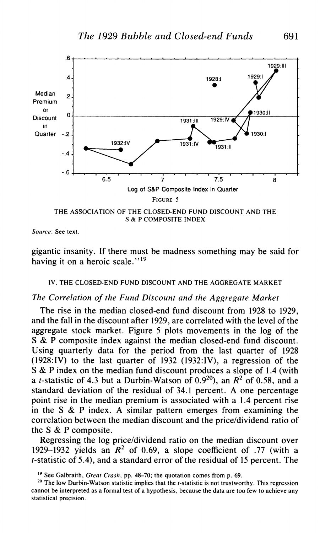

**Source: See text.** 

**gigantic insanity. If there must be madness something may be said for having it on a heroic scale."''9** 

#### **IV. THE CLOSED-END FUND DISCOUNT AND THE AGGREGATE MARKET**

#### **The Correlation of the Fund Discount and the Aggregate Market**

**The rise in the median closed-end fund discount from 1928 to 1929, and the fall in the discount after 1929, are correlated with the level of the aggregate stock market. Figure 5 plots movements in the log of the S & P composite index against the median closed-end fund discount. Using quarterly data for the period from the last quarter of 1928 (1928:IV) to the last quarter of 1932 (1932:IV), a regression of the S & P index on the median fund discount produces a slope of 1.4 (with**  a *t*-statistic of 4.3 but a Durbin-Watson of  $0.9^{20}$ ), an  $R^2$  of 0.58, and a **standard deviation of the residual of 34.1 percent. A one percentage point rise in the median premium is associated with a 1.4 percent rise in the S & P index. A similar pattern emerges from examining the correlation between the median discount and the price/dividend ratio of the S & P composite.** 

**Regressing the log price/dividend ratio on the median discount over**  1929–1932 yields an  $R^2$  of 0.69, a slope coefficient of  $.77$  (with a **t-statistic of 5.4), and a standard error of the residual of 15 percent. The** 

**<sup>&#</sup>x27;9 See Galbraith, Great Crash, pp. 48-70; the quotation comes from p. 69.** 

<sup>&</sup>lt;sup>20</sup> The low Durbin-Watson statistic implies that the *t*-statistic is not trustworthy. This regression **cannot be interpreted as a formal test of a hypothesis, because the data are too few to achieve any statistical precision.**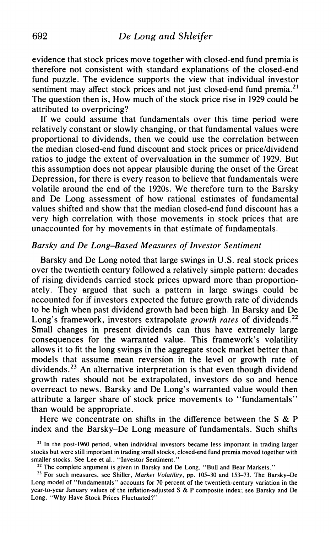**evidence that stock prices move together with closed-end fund premia is therefore not consistent with standard explanations of the closed-end fund puzzle. The evidence supports the view that individual investor sentiment may affect stock prices and not just closed-end fund premia.21 The question then is, How much of the stock price rise in 1929 could be attributed to overpricing?** 

**If we could assume that fundamentals over this time period were relatively constant or slowly changing, or that fundamental values were proportional to dividends, then we could use the correlation between the median closed-end fund discount and stock prices or price/dividend ratios to judge the extent of overvaluation in the summer of 1929. But this assumption does not appear plausible during the onset of the Great Depression, for there is every reason to believe that fundamentals were volatile around the end of the 1920s. We therefore turn to the Barsky and De Long assessment of how rational estimates of fundamental values shifted and show that the median closed-end fund discount has a very high correlation with those movements in stock prices that are unaccounted for by movements in that estimate of fundamentals.** 

## **Barsky and De Long-Based Measures of Investor Sentiment**

**Barsky and De Long noted that large swings in U.S. real stock prices over the twentieth century followed a relatively simple pattern: decades of rising dividends carried stock prices upward more than proportionately. They argued that such a pattern in large swings could be accounted for if investors expected the future growth rate of dividends to be high when past dividend growth had been high. In Barsky and De Long's framework, investors extrapolate growth rates of dividends.22 Small changes in present dividends can thus have extremely large consequences for the warranted value. This framework's volatility allows it to fit the long swings in the aggregate stock market better than models that assume mean reversion in the level or growth rate of dividends.23 An alternative interpretation is that even though dividend growth rates should not be extrapolated, investors do so and hence overreact to news. Barsky and De Long's warranted value would then attribute a larger share of stock price movements to "fundamentals" than would be appropriate.** 

**Here we concentrate on shifts in the difference between the S & P index and the Barsky-De Long measure of fundamentals. Such shifts** 

**<sup>21</sup>In the post-1960 period, when individual investors became less important in trading larger stocks but were still important in trading small stocks, closed-end fund premia moved together with smaller stocks. See Lee et al., "Investor Sentiment."** 

**<sup>22</sup>The complete argument is given in Barsky and De Long, "Bull and Bear Markets."** 

**<sup>23</sup>For such measures, see Shiller, Market Volatility, pp. 105-30 and 153-73. The Barsky-De Long model of "fundamentals" accounts for 70 percent of the twentieth-century variation in the year-to-year January values of the inflation-adjusted S& P composite index; see Barsky and De Long, "Why Have Stock Prices Fluctuated?"**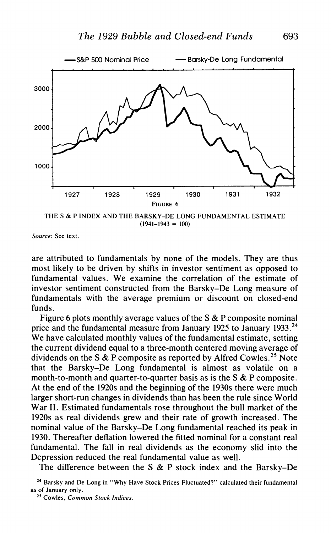

**Source: See text.** 

**are attributed to fundamentals by none of the models. They are thus most likely to be driven by shifts in investor sentiment as opposed to fundamental values. We examine the correlation of the estimate of investor sentiment constructed from the Barsky-De Long measure of fundamentals with the average premium or discount on closed-end funds.** 

**Figure 6 plots monthly average values of the S & P composite nominal price and the fundamental measure from January 1925 to January 1933.24 We have calculated monthly values of the fundamental estimate, setting the current dividend equal to a three-month centered moving average of dividends on the S & P composite as reported by Alfred Cowles.25 Note that the Barsky-De Long fundamental is almost as volatile on a month-to-month and quarter-to-quarter basis as is the S & P composite. At the end of the 1920s and the beginning of the 1930s there were much larger short-run changes in dividends than has been the rule since World War II. Estimated fundamentals rose throughout the bull market of the 1920s as real dividends grew and their rate of growth increased. The nominal value of the Barsky-De Long fundamental reached its peak in 1930. Thereafter deflation lowered the fitted nominal for a constant real fundamental. The fall in real dividends as the economy slid into the Depression reduced the real fundamental value as well.** 

**The difference between the S & P stock index and the Barsky-De** 

**<sup>24</sup>Barsky and De Long in "Why Have Stock Prices Fluctuated?" calculated their fundamental as of January only.** 

**<sup>25</sup>Cowles, Common Stock Indices.**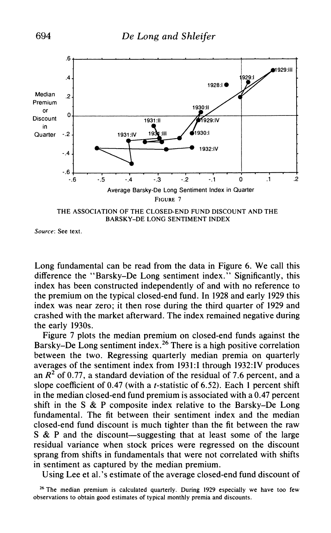

**Source: See text.** 

**Long fundamental can be read from the data in Figure 6. We call this difference the "Barsky-De Long sentiment index." Significantly, this index has been constructed independently of and with no reference to the premium on the typical closed-end fund. In 1928 and early 1929 this index was near zero; it then rose during the third quarter of 1929 and crashed with the market afterward. The index remained negative during the early 1930s.** 

**Figure 7 plots the median premium on closed-end funds against the Barsky-De Long sentiment index.26 There is a high positive correlation between the two. Regressing quarterly median premia on quarterly averages of the sentiment index from 1931:1 through 1932:IV produces an R2 of 0.77, a standard deviation of the residual of 7.6 percent, and a slope coefficient of 0.47 (with a t-statistic of 6.52). Each 1 percent shift in the median closed-end fund premium is associated with a 0.47 percent shift in the S & P composite index relative to the Barsky-De Long fundamental. The fit between their sentiment index and the median closed-end fund discount is much tighter than the fit between the raw S & P and the discount-suggesting that at least some of the large residual variance when stock prices were regressed on the discount sprang from shifts in fundamentals that were not correlated with shifts in sentiment as captured by the median premium.** 

**Using Lee et al.'s estimate of the average closed-end fund discount of** 

**<sup>26</sup>The median premium is calculated quarterly. During 1929 especially we have too few observations to obtain good estimates of typical monthly premia and discounts.**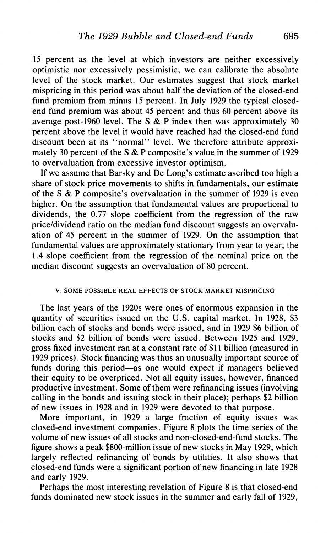**15 percent as the level at which investors are neither excessively optimistic nor excessively pessimistic, we can calibrate the absolute level of the stock market. Our estimates suggest that stock market mispricing in this period was about half the deviation of the closed-end fund premium from minus 15 percent. In July 1929 the typical closedend fund premium was about 45 percent and thus 60 percent above its average post-1960 level. The S & P index then was approximately 30 percent above the level it would have reached had the closed-end fund discount been at its "normal" level. We therefore attribute approximately 30 percent of the S & P composite's value in the summer of 1929 to overvaluation from excessive investor optimism.** 

**If we assume that Barsky and De Long's estimate ascribed too high a share of stock price movements to shifts in fundamentals, our estimate of the S & P composite's overvaluation in the summer of 1929 is even higher. On the assumption that fundamental values are proportional to dividends, the 0.77 slope coefficient from the regression of the raw price/dividend ratio on the median fund discount suggests an overvaluation of 45 percent in the summer of 1929. On the assumption that fundamental values are approximately stationary from year to year, the 1.4 slope coefficient from the regression of the nominal price on the median discount suggests an overvaluation of 80 percent.** 

#### **V. SOME POSSIBLE REAL EFFECTS OF STOCK MARKET MISPRICING**

**The last years of the 1920s were ones of enormous expansion in the quantity of securities issued on the U.S. capital market. In 1928, \$3 billion each of stocks and bonds were issued, and in 1929 \$6 billion of stocks and \$2 billion of bonds were issued. Between 1925 and 1929, gross fixed investment ran at a constant rate of \$11 billion (measured in 1929 prices). Stock financing was thus an unusually important source of**  funds during this period—as one would expect if managers believed **their equity to be overpriced. Not all equity issues, however, financed productive investment. Some of them were refinancing issues (involving calling in the bonds and issuing stock in their place); perhaps \$2 billion of new issues in 1928 and in 1929 were devoted to that purpose.** 

**More important, in 1929 a large fraction of equity issues was closed-end investment companies. Figure 8 plots the time series of the volume of new issues of all stocks and non-closed-end-fund stocks. The figure shows a peak \$800-million issue of new stocks in May 1929, which largely reflected refinancing of bonds by utilities. It also shows that closed-end funds were a significant portion of new financing in late 1928 and early 1929.** 

**Perhaps the most interesting revelation of Figure 8 is that closed-end funds dominated new stock issues in the summer and early fall of 1929,**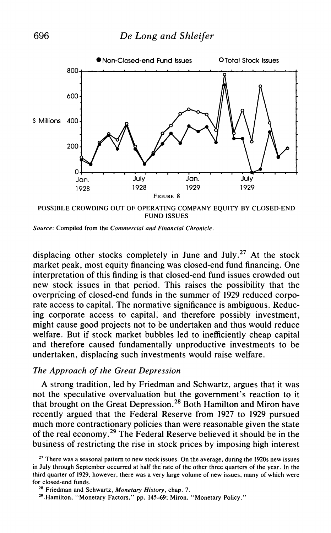

**FUND ISSUES** 

**displacing other stocks completely in June and July.27 At the stock market peak, most equity financing was closed-end fund financing. One interpretation of this finding is that closed-end fund issues crowded out new stock issues in that period. This raises the possibility that the overpricing of closed-end funds in the summer of 1929 reduced corporate access to capital. The normative significance is ambiguous. Reducing corporate access to capital, and therefore possibly investment, might cause good projects not to be undertaken and thus would reduce welfare. But if stock market bubbles led to inefficiently cheap capital and therefore caused fundamentally unproductive investments to be undertaken, displacing such investments would raise welfare.** 

## **The Approach of the Great Depression**

**A strong tradition, led by Friedman and Schwartz, argues that it was not the speculative overvaluation but the government's reaction to it that brought on the Great Depression.28 Both Hamilton and Miron have recently argued that the Federal Reserve from 1927 to 1929 pursued much more contractionary policies than were reasonable given the state of the real economy.29 The Federal Reserve believed it should be in the business of restricting the rise in stock prices by imposing high interest** 

**Source: Compiled from the Commercial and Financial Chronicle.** 

**<sup>27</sup>There was a seasonal pattern to new stock issues. On the average, during the 1920s new issues in July through September occurred at half the rate of the other three quarters of the year. In the third quarter of 1929, however, there was a very large volume of new issues, many of which were for closed-end funds.** 

**<sup>28</sup>Friedman and Schwartz, Monetary History, chap. 7.** 

**<sup>29.</sup>Hamilton, "Monetary Factors," pp. 145-69; Miron, "Monetary Policy."**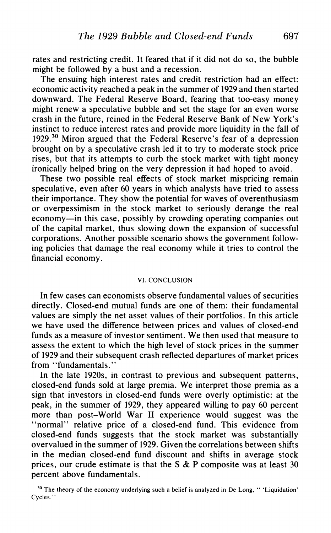**rates and restricting credit. It feared that if it did not do so, the bubble might be followed by a bust and a recession.** 

**The ensuing high interest rates and credit restriction had an effect: economic activity reached a peak in the summer of 1929 and then started downward. The Federal Reserve Board, fearing that too-easy money might renew a speculative bubble and set the stage for an even worse crash in the future, reined in the Federal Reserve Bank of New York's instinct to reduce interest rates and provide more liquidity in the fall of 1929.30 Miron argued that the Federal Reserve's fear of a depression brought on by a speculative crash led it to try to moderate stock price rises, but that its attempts to curb the stock market with tight money ironically helped bring on the very depression it had hoped to avoid.** 

**These two possible real effects of stock market mispricing remain speculative, even after 60 years in which analysts have tried to assess their importance. They show the potential for waves of overenthusiasm or overpessimism in the stock market to seriously derange the real economy-in this case, possibly by crowding operating companies out of the capital market, thus slowing down the expansion of successful corporations. Another possible scenario shows the government following policies that damage the real economy while it tries to control the financial economy.** 

#### **VI. CONCLUSION**

**In few cases can economists observe fundamental values of securities directly. Closed-end mutual funds are one of them: their fundamental values are simply the net asset values of their portfolios. In this article we have used the difference between prices and values of closed-end funds as a measure of investor sentiment. We then used that measure to assess the extent to which the high level of stock prices in the summer of 1929 and their subsequent crash reflected departures of market prices from "fundamentals. "** 

**In the late 1920s, in contrast to previous and subsequent patterns, closed-end funds sold at large premia. We interpret those premia as a sign that investors in closed-end funds were overly optimistic: at the peak, in the summer of 1929, they appeared willing to pay 60 percent more than post-World War 11 experience would suggest was the "normal" relative price of a closed-end fund. This evidence from closed-end funds suggests that the stock market was substantially overvalued in the summer of 1929. Given the correlations between shifts in the median closed-end fund discount and shifts in average stock prices, our crude estimate is that the S & P composite was at least 30 percent above fundamentals.** 

**<sup>30</sup>The theory of the economy underlying such a belief is analyzed in De Long, " 'Liquidation' Cycles."**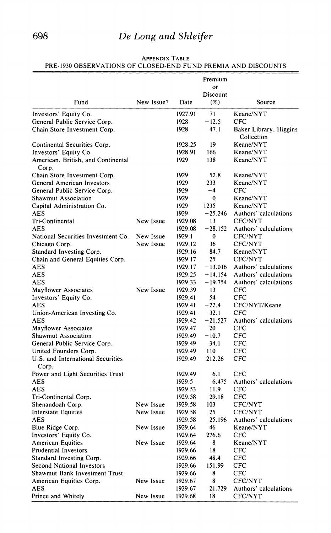|                                             |            |         | Premium   |                        |
|---------------------------------------------|------------|---------|-----------|------------------------|
|                                             |            |         | or        |                        |
|                                             |            |         | Discount  |                        |
| Fund                                        | New Issue? | Date    | $(\%)$    | Source                 |
| Investors' Equity Co.                       |            | 1927.91 | 71        | Keane/NYT              |
| General Public Service Corp.                |            | 1928    | $-12.5$   | CFC                    |
| Chain Store Investment Corp.                |            | 1928    | 47.1      | Baker Library, Higgins |
|                                             |            |         |           | Collection             |
| Continental Securities Corp.                |            | 1928.25 | 19        | Keane/NYT              |
| Investors' Equity Co.                       |            | 1928.91 | 166       | Keane/NYT              |
| American, British, and Continental<br>Corp. |            | 1929    | 138       | Keane/NYT              |
| Chain Store Investment Corp.                |            | 1929    | 52.8      | Keane/NYT              |
| General American Investors                  |            | 1929    | 233       | Keane/NYT              |
| General Public Service Corp.                |            | 1929    | $-4$      | CFC                    |
| <b>Shawmut Association</b>                  |            | 1929    | 0         | Keane/NYT              |
| Capital Administration Co.                  |            | 1929    | 1235      | Keane/NYT              |
| AES                                         |            | 1929    | $-25.246$ | Authors' calculations  |
| Tri-Continental                             | New Issue  | 1929.08 | 13        | <b>CFC/NYT</b>         |
| AES                                         |            | 1929.08 | $-28.152$ | Authors' calculations  |
| National Securities Investment Co.          | New Issue  | 1929.1  | $\bf{0}$  | <b>CFC/NYT</b>         |
| Chicago Corp.                               | New Issue  | 1929.12 | 36        | CFC/NYT                |
| Standard Investing Corp.                    |            | 1929.16 | 84.7      | Keane/NYT              |
| Chain and General Equities Corp.            |            | 1929.17 | 25        | <b>CFC/NYT</b>         |
| AES                                         |            | 1929.17 | $-13.016$ | Authors' calculations  |
| AES                                         |            | 1929.25 | $-14.154$ | Authors' calculations  |
| AES                                         |            | 1929.33 | $-19.754$ | Authors' calculations  |
| Mayflower Associates                        | New Issue  | 1929.39 | 13        | <b>CFC</b>             |
| Investors' Equity Co.                       |            | 1929.41 | 54        | <b>CFC</b>             |
| <b>AES</b>                                  |            | 1929.41 | $-22.4$   | CFC/NYT/Keane          |
| Union-American Investing Co.                |            | 1929.41 | 32.1      | <b>CFC</b>             |
| AES                                         |            | 1929.42 | $-21.527$ | Authors' calculations  |
| Mayflower Associates                        |            | 1929.47 | 20        | CFC                    |
| Shawmut Association                         |            | 1929.49 | $-10.7$   | <b>CFC</b>             |
| General Public Service Corp.                |            | 1929.49 | 34.1      | CFC                    |
| United Founders Corp.                       |            | 1929.49 | 110       | CFC                    |
| U.S. and International Securities           |            | 1929.49 | 212.26    | <b>CFC</b>             |
| Corp.                                       |            |         |           |                        |
| Power and Light Securities Trust            |            | 1929.49 | 6.1       | <b>CFC</b>             |
| AES                                         |            | 1929.5  | 6.475     | Authors' calculations  |
| AES                                         |            | 1929.53 | 11.9      | CFC                    |
| Tri-Continental Corp.                       |            | 1929.58 | 29.18     | <b>CFC</b>             |
| Shenandoah Corp.                            | New Issue  | 1929.58 | 103       | CFC/NYT                |
| <b>Interstate Equities</b>                  | New Issue  | 1929.58 | 25        | CFC/NYT                |
| AES.                                        |            | 1929.58 | 25.196    | Authors' calculations  |
| Blue Ridge Corp.                            | New Issue  | 1929.64 | 46        | Keane/NYT              |
| Investors' Equity Co.                       |            | 1929.64 | 276.6     | <b>CFC</b>             |
| <b>American Equities</b>                    | New Issue  | 1929.64 | 8         | Keane/NYT              |
| <b>Prudential Investors</b>                 |            | 1929.66 | 18        | <b>CFC</b>             |
| Standard Investing Corp.                    |            | 1929.66 | 48.4      | CFC                    |
| Second National Investors                   |            | 1929.66 | 151.99    | CFC                    |
| Shawmut Bank Investment Trust               |            | 1929.66 | 8         | <b>CFC</b>             |
| American Equities Corp.                     | New Issue  | 1929.67 | 8         | CFC/NYT                |
| AES                                         |            | 1929.67 | 21.729    | Authors' calculations  |
| Prince and Whitely                          | New Issue  | 1929.68 | 18        | <b>CFC/NYT</b>         |
|                                             |            |         |           |                        |

**APPENDIX TABLE PRE-1930 OBSERVATIONS OF CLOSED-END FUND PREMIA AND DISCOUNTS**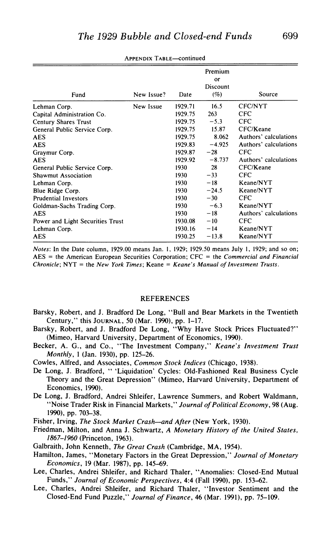| Fund                             | New Issue? | Date    | Premium<br>or<br>Discount<br>(%) | Source                |
|----------------------------------|------------|---------|----------------------------------|-----------------------|
| Lehman Corp.                     | New Issue  | 1929.71 | 16.5                             | <b>CFC/NYT</b>        |
| Capital Administration Co.       |            | 1929.75 | 263                              | CFC                   |
| <b>Century Shares Trust</b>      |            | 1929.75 | $-5.3$                           | CFC                   |
| General Public Service Corp.     |            | 1929.75 | 15.87                            | CFC/Keane             |
| <b>AES</b>                       |            | 1929.75 | 8.062                            | Authors' calculations |
| <b>AES</b>                       |            | 1929.83 | $-4.925$                         | Authors' calculations |
| Graymur Corp.                    |            | 1929.87 | $-28$                            | CFC                   |
| <b>AES</b>                       |            | 1929.92 | $-8.737$                         | Authors' calculations |
| General Public Service Corp.     |            | 1930    | 28                               | CFC/Keane             |
| <b>Shawmut Association</b>       |            | 1930    | $-33$                            | CFC                   |
| Lehman Corp.                     |            | 1930    | $-18$                            | Keane/NYT             |
| Blue Ridge Corp.                 |            | 1930    | $-24.5$                          | Keane/NYT             |
| <b>Prudential Investors</b>      |            | 1930    | $-30$                            | CFC                   |
| Goldman-Sachs Trading Corp.      |            | 1930    | $-6.3$                           | Keane/NYT             |
| <b>AES</b>                       |            | 1930    | $-18$                            | Authors' calculations |
| Power and Light Securities Trust |            | 1930.08 | $-10$                            | CFC                   |
| Lehman Corp.                     |            | 1930.16 | $-14$                            | Keane/NYT             |
| <b>AES</b>                       |            | 1930.25 | $-13.8$                          | Keane/NYT             |

**APPENDIX TABLE-continued** 

**Notes: In the Date column, 1929.00 means Jan. 1, 1929; 1929.50 means July 1, 1929; and so on; AES = the American European Securities Corporation; CFC = the Commercial and Financial Chronicle; NYT = the New York Times; Keane = Keane's Manual of Investment Trusts.** 

#### **REFERENCES**

- **Barsky, Robert, and J. Bradford De Long, "Bull and Bear Markets in the Twentieth Century," this JOURNAL, 50 (Mar. 1990), pp. 1-17.**
- **Barsky, Robert, and J. Bradford De Long, "Why Have Stock Prices Fluctuated?" (Mimeo, Harvard University, Department of Economics, 1990).**
- **Becker, A. G., and Co., "The Investment Company," Keane's Investment Trust Monthly, 1 (Jan. 1930), pp. 125-26.**
- **Cowles, Alfred, and Associates, Common Stock Indices (Chicago, 1938).**
- **De Long, J. Bradford, " 'Liquidation' Cycles: Old-Fashioned Real Business Cycle Theory and the Great Depression" (Mimeo, Harvard University, Department of Economics, 1990).**
- **De Long, J. Bradford, Andrei Shleifer, Lawrence Summers, and Robert Waldmann, "Noise Trader Risk in Financial Markets," Journal of Political Economy, 98 (Aug. 1990), pp. 703-38.**
- **Fisher, Irving, The Stock Market Crash-and After (New York, 1930).**
- **Friedman, Milton, and Anna J. Schwartz, A Monetary History of the United States, 1867-1960 (Princeton, 1963).**
- **Galbraith, John Kenneth, The Great Crash (Cambridge, MA, 1954).**
- **Hamilton, James, "Monetary Factors in the Great Depression," Journal of Monetary Economics, 19 (Mar. 1987), pp. 145-69.**
- **Lee, Charles, Andrei Shleifer, and Richard Thaler, "Anomalies: Closed-End Mutual Funds," Journal of Economic Perspectives, 4:4 (Fall 1990), pp. 153-62.**
- **Lee, Charles, Andrei Shleifer, and Richard Thaler, "Investor Sentiment and the Closed-End Fund Puzzle," Journal of Finance, 46 (Mar. 1991), pp. 75-109.**